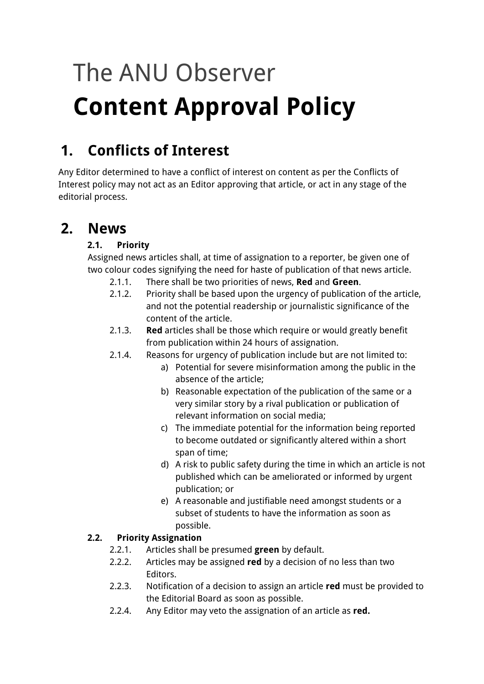# The ANU Observer **Content Approval Policy**

# **1. Conflicts of Interest**

Any Editor determined to have a conflict of interest on content as per the Conflicts of Interest policy may not act as an Editor approving that article, or act in any stage of the editorial process.

# **2. News**

#### **2.1. Priority**

Assigned news articles shall, at time of assignation to a reporter, be given one of two colour codes signifying the need for haste of publication of that news article.

- 2.1.1. There shall be two priorities of news, **Red** and **Green**.
- 2.1.2. Priority shall be based upon the urgency of publication of the article, and not the potential readership or journalistic significance of the content of the article.
- 2.1.3. **Red** articles shall be those which require or would greatly benefit from publication within 24 hours of assignation.
- 2.1.4. Reasons for urgency of publication include but are not limited to:
	- a) Potential for severe misinformation among the public in the absence of the article;
	- b) Reasonable expectation of the publication of the same or a very similar story by a rival publication or publication of relevant information on social media;
	- c) The immediate potential for the information being reported to become outdated or significantly altered within a short span of time;
	- d) A risk to public safety during the time in which an article is not published which can be ameliorated or informed by urgent publication; or
	- e) A reasonable and justifiable need amongst students or a subset of students to have the information as soon as possible.

#### **2.2. Priority Assignation**

- 2.2.1. Articles shall be presumed **green** by default.<br>2.2.2. Articles may be assigned **red** by a decision of
- 2.2.2. Articles may be assigned **red** by a decision of no less than two Editors.
- 2.2.3. Notification of a decision to assign an article **red** must be provided to the Editorial Board as soon as possible.
- 2.2.4. Any Editor may veto the assignation of an article as **red.**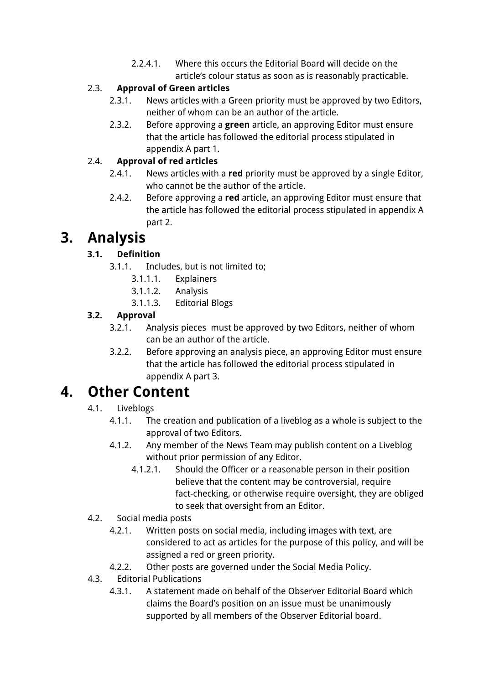2.2.4.1. Where this occurs the Editorial Board will decide on the article's colour status as soon as is reasonably practicable.

#### 2.3. **Approval of Green articles**

- 2.3.1. News articles with a Green priority must be approved by two Editors, neither of whom can be an author of the article.
- 2.3.2. Before approving a **green** article, an approving Editor must ensure that the article has followed the editorial process stipulated in appendix A part 1.

#### 2.4. **Approval of red articles**

- 2.4.1. News articles with a **red** priority must be approved by a single Editor, who cannot be the author of the article.
- 2.4.2. Before approving a **red** article, an approving Editor must ensure that the article has followed the editorial process stipulated in appendix A part 2.

# **3. Analysis**

#### **3.1. Definition**

- 3.1.1. Includes, but is not limited to;
	- 3.1.1.1. Explainers
	- 3.1.1.2. Analysis
	- 3.1.1.3. Editorial Blogs

#### **3.2. Approval**

- 3.2.1. Analysis pieces must be approved by two Editors, neither of whom can be an author of the article.
- 3.2.2. Before approving an analysis piece, an approving Editor must ensure that the article has followed the editorial process stipulated in appendix A part 3.

# **4. Other Content**

#### 4.1. Liveblogs

- 4.1.1. The creation and publication of a liveblog as a whole is subject to the approval of two Editors.
- 4.1.2. Any member of the News Team may publish content on a Liveblog without prior permission of any Editor.
	- 4.1.2.1. Should the Officer or a reasonable person in their position believe that the content may be controversial, require fact-checking, or otherwise require oversight, they are obliged to seek that oversight from an Editor.
- 4.2. Social media posts
	- 4.2.1. Written posts on social media, including images with text, are considered to act as articles for the purpose of this policy, and will be assigned a red or green priority.
	- 4.2.2. Other posts are governed under the Social Media Policy.
- 4.3. Editorial Publications
	- 4.3.1. A statement made on behalf of the Observer Editorial Board which claims the Board's position on an issue must be unanimously supported by all members of the Observer Editorial board.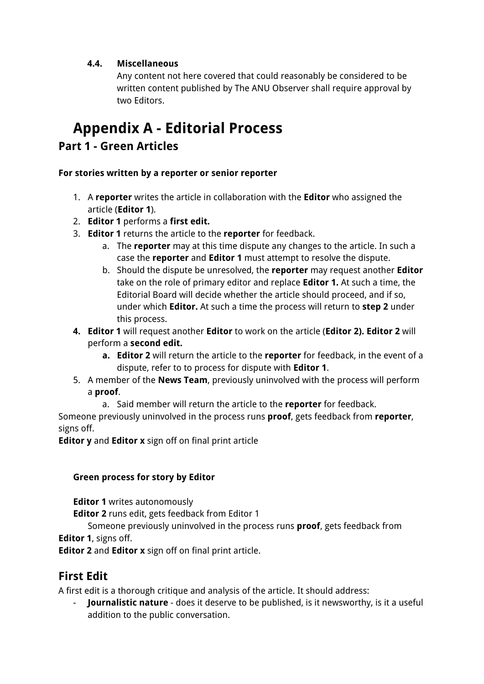#### **4.4. Miscellaneous**

Any content not here covered that could reasonably be considered to be written content published by The ANU Observer shall require approval by two Editors.

# **Appendix A - Editorial Process**

### **Part 1 - Green Articles**

#### **For stories written by a reporter or senior reporter**

- 1. A **reporter** writes the article in collaboration with the **Editor** who assigned the article (**Editor 1**).
- 2. **Editor 1** performs a **first edit.**
- 3. **Editor 1** returns the article to the **reporter** for feedback.
	- a. The **reporter** may at this time dispute any changes to the article. In such a case the **reporter** and **Editor 1** must attempt to resolve the dispute.
	- b. Should the dispute be unresolved, the **reporter** may request another **Editor** take on the role of primary editor and replace **Editor 1.** At such a time, the Editorial Board will decide whether the article should proceed, and if so, under which **Editor.** At such a time the process will return to **step 2** under this process.
- **4. Editor 1** will request another **Editor** to work on the article (**Editor 2). Editor 2** will perform a **second edit.**
	- **a. Editor 2** will return the article to the **reporter** for feedback, in the event of a dispute, refer to to process for dispute with **Editor 1**.
- 5. A member of the **News Team**, previously uninvolved with the process will perform a **proof**.
	- a. Said member will return the article to the **reporter** for feedback.

Someone previously uninvolved in the process runs **proof**, gets feedback from **reporter**, signs off.

**Editor y** and **Editor x** sign off on final print article

#### **Green process for story by Editor**

**Editor 1** writes autonomously

**Editor 2** runs edit, gets feedback from Editor 1

Someone previously uninvolved in the process runs **proof**, gets feedback from **Editor 1**, signs off.

**Editor 2** and **Editor x** sign off on final print article.

## **First Edit**

A first edit is a thorough critique and analysis of the article. It should address:

- **Journalistic nature** - does it deserve to be published, is it newsworthy, is it a useful addition to the public conversation.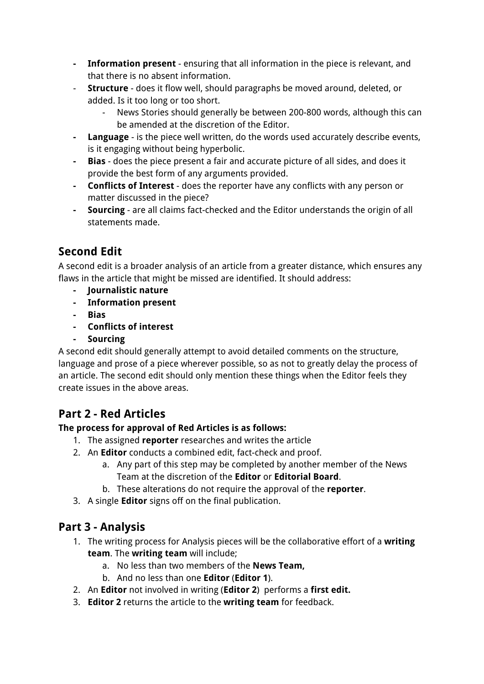- **- Information present** ensuring that all information in the piece is relevant, and that there is no absent information.
- **Structure** does it flow well, should paragraphs be moved around, deleted, or added. Is it too long or too short.
	- News Stories should generally be between 200-800 words, although this can be amended at the discretion of the Editor.
- **- Language** is the piece well written, do the words used accurately describe events, is it engaging without being hyperbolic.
- **- Bias** does the piece present a fair and accurate picture of all sides, and does it provide the best form of any arguments provided.
- **- Conflicts of Interest** does the reporter have any conflicts with any person or matter discussed in the piece?
- **- Sourcing** are all claims fact-checked and the Editor understands the origin of all statements made.

## **Second Edit**

A second edit is a broader analysis of an article from a greater distance, which ensures any flaws in the article that might be missed are identified. It should address:

- **- Journalistic nature**
- **- Information present**
- **- Bias**
- **- Conflicts of interest**
- **- Sourcing**

A second edit should generally attempt to avoid detailed comments on the structure, language and prose of a piece wherever possible, so as not to greatly delay the process of an article. The second edit should only mention these things when the Editor feels they create issues in the above areas.

## **Part 2 - Red Articles**

#### **The process for approval of Red Articles is as follows:**

- 1. The assigned **reporter** researches and writes the article
- 2. An **Editor** conducts a combined edit, fact-check and proof.
	- a. Any part of this step may be completed by another member of the News Team at the discretion of the **Editor** or **Editorial Board**.
	- b. These alterations do not require the approval of the **reporter**.
- 3. A single **Editor** signs off on the final publication.

## **Part 3 - Analysis**

- 1. The writing process for Analysis pieces will be the collaborative effort of a **writing team**. The **writing team** will include;
	- a. No less than two members of the **News Team,**
	- b. And no less than one **Editor** (**Editor 1**).
- 2. An **Editor** not involved in writing (**Editor 2**) performs a **first edit.**
- 3. **Editor 2** returns the article to the **writing team** for feedback.